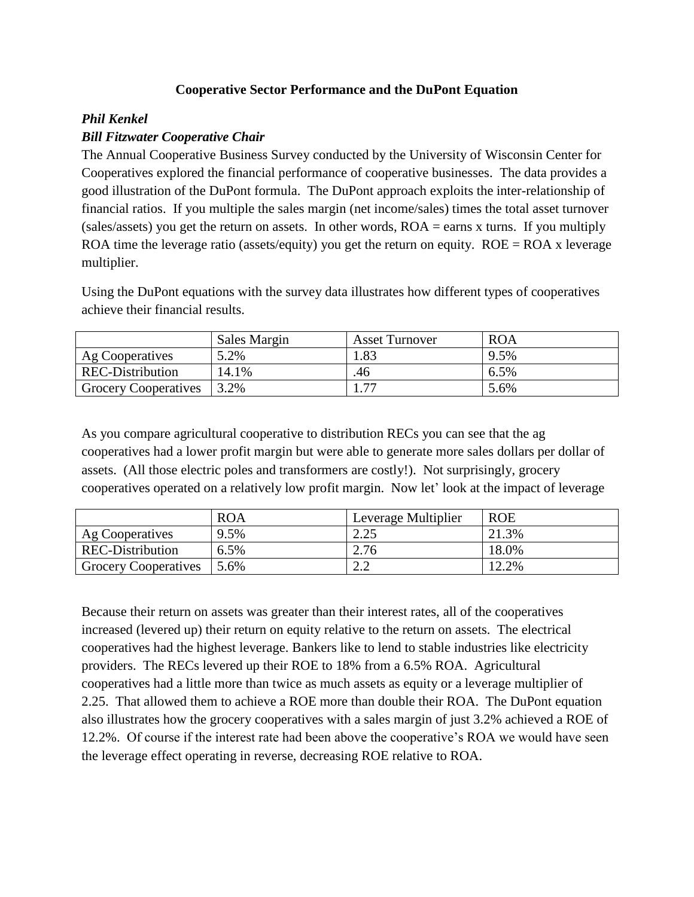## **Cooperative Sector Performance and the DuPont Equation**

## *Phil Kenkel*

## *Bill Fitzwater Cooperative Chair*

The Annual Cooperative Business Survey conducted by the University of Wisconsin Center for Cooperatives explored the financial performance of cooperative businesses. The data provides a good illustration of the DuPont formula. The DuPont approach exploits the inter-relationship of financial ratios. If you multiple the sales margin (net income/sales) times the total asset turnover (sales/assets) you get the return on assets. In other words, ROA = earns x turns. If you multiply ROA time the leverage ratio (assets/equity) you get the return on equity.  $ROE = ROA$  x leverage multiplier.

Using the DuPont equations with the survey data illustrates how different types of cooperatives achieve their financial results.

|                             | Sales Margin | <b>Asset Turnover</b> | <b>ROA</b> |
|-----------------------------|--------------|-----------------------|------------|
| Ag Cooperatives             | 5.2%         | .83                   | 9.5%       |
| <b>REC-Distribution</b>     | 14.1%        | .46                   | 6.5%       |
| <b>Grocery Cooperatives</b> | 3.2%         | 75                    | 5.6%       |

As you compare agricultural cooperative to distribution RECs you can see that the ag cooperatives had a lower profit margin but were able to generate more sales dollars per dollar of assets. (All those electric poles and transformers are costly!). Not surprisingly, grocery cooperatives operated on a relatively low profit margin. Now let' look at the impact of leverage

|                             | <b>ROA</b> | <sup>1</sup> Leverage Multiplier | <b>ROE</b> |
|-----------------------------|------------|----------------------------------|------------|
| Ag Cooperatives             | 9.5%       | ິດ ລະ                            | 21.3%      |
| <b>REC-Distribution</b>     | $6.5\%$    | 2.76                             | 18.0%      |
| <b>Grocery Cooperatives</b> | 5.6%       | $\cap$ $\cap$                    | 12.2%      |

Because their return on assets was greater than their interest rates, all of the cooperatives increased (levered up) their return on equity relative to the return on assets. The electrical cooperatives had the highest leverage. Bankers like to lend to stable industries like electricity providers. The RECs levered up their ROE to 18% from a 6.5% ROA. Agricultural cooperatives had a little more than twice as much assets as equity or a leverage multiplier of 2.25. That allowed them to achieve a ROE more than double their ROA. The DuPont equation also illustrates how the grocery cooperatives with a sales margin of just 3.2% achieved a ROE of 12.2%. Of course if the interest rate had been above the cooperative's ROA we would have seen the leverage effect operating in reverse, decreasing ROE relative to ROA.